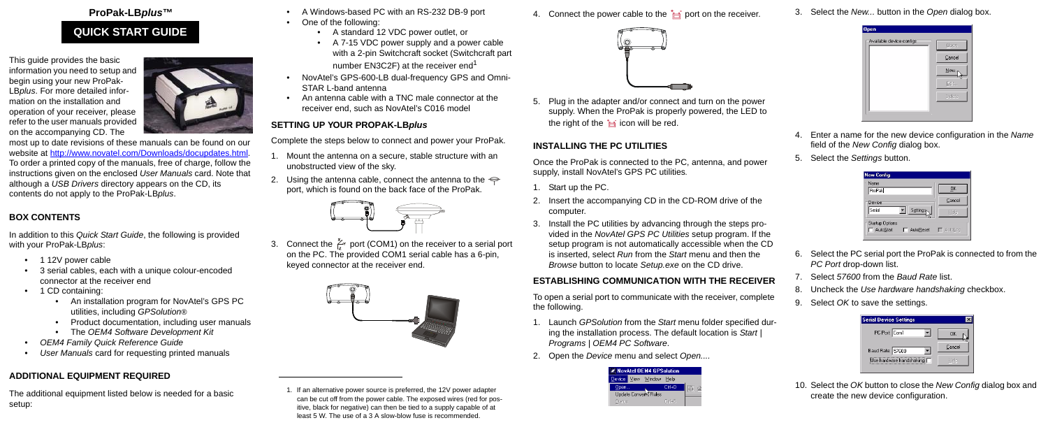### **ProPak-LB***plus***™**

This guide provides the basic information you need to setup and begin using your new ProPak-LB*plus*[. For more detailed infor](http://www.novatel.com/Downloads/docupdates.html)mation on the installation and operation of your receiver, please [refer to the user manuals provided](http://www.novatel.com/Downloads/docupdates.html)  on the accompanying CD. The



[most up to date revisions of these manuals can be found on our](http://www.novatel.com/Downloads/docupdates.html)  [website at h](http://www.novatel.com/Downloads/docupdates.html)ttp://www.novatel.com/Downloads/docupdates.html. To order a printed copy of the manuals, free of charge, follow the instructions given on the enclosed *User Manuals* card. Note that although a *USB Drivers* directory appears on the CD, its contents do not apply to the ProPak-LB*plus*.

- 1 12V power cable
- 3 serial cables, each with a unique colour-encoded connector at the receiver end
- 1 CD containing:
	- An installation program for NovAtel's GPS PC utilities, including *GPSolution®*
	- Product documentation, including user manuals
	- The *OEM4 Software Development Kit*
- *OEM4 Family Quick Reference Guide*
- *User Manuals* card for requesting printed manuals

### **BOX CONTENTS**

In addition to this *Quick Start Guide*, the following is provided with your ProPak-LB*plus*:

3. Connect the  $\frac{\gamma}{\zeta}$  port (COM1) on the receiver to a serial port on the PC. The provided COM1 serial cable has a 6-pin, keyed connector at the receiver end.



5. Plug in the adapter and/or connect and turn on the power supply. When the ProPak is properly powered, the LED to the right of the  $\frac{1}{\sqrt{2}}$  icon will be red.

## **ADDITIONAL EQUIPMENT REQUIRED**

The additional equipment listed below is needed for a basic setup:

- A Windows-based PC with an RS-232 DB-9 port
- One of the following:
	- A standard 12 VDC power outlet, or
	- A 7-15 VDC power supply and a power cable with a 2-pin Switchcraft socket (Switchcraft part number  $EN3C2F$ ) at the receiver end<sup>1</sup>
- NovAtel's GPS-600-LB dual-frequency GPS and Omni-STAR L-band antenna
- An antenna cable with a TNC male connector at the receiver end, such as NovAtel's C016 model

## **SETTING UP YOUR PROPAK-LB***plus*

Complete the steps below to connect and power your ProPak.

- 1. Mount the antenna on a secure, stable structure with an unobstructed view of the sky.
- 2. Using the antenna cable, connect the antenna to the  $\Leftarrow$ port, which is found on the back face of the ProPak.



## **INSTALLING THE PC UTILITIES**

Once the ProPak is connected to the PC, antenna, and power supply, install NovAtel's GPS PC utilities*.*

- 1. Start up the PC.
- 2. Insert the accompanying CD in the CD-ROM drive of the computer.
- 3. Install the PC utilities by advancing through the steps provided in the *NovAtel GPS PC Utilities* setup program. If the setup program is not automatically accessible when the CD is inserted, select *Run* from the *Start* menu and then the *Browse* button to locate *Setup.exe* on the CD drive.

## **ESTABLISHING COMMUNICATION WITH THE RECEIVER**

To open a serial port to communicate with the receiver, complete the following.

- 1. Launch *GPSolution* from the *Start* menu folder specified during the installation process. The default location is *Start | Programs | OEM4 PC Software*.
- 2. Open the *Device* menu and select *Open....*



3. Select the *New...* button in the *Open* dialog box.



- 4. Enter a name for the new device configuration in the *Name* field of the *New Config* dialog box.
- 5. Select the *Settings* button.

| <b>New Config</b>                                |                |
|--------------------------------------------------|----------------|
| Name<br>ProPak                                   | ŪK             |
| Device<br>Serial<br>Settings                     | Cancel<br>Help |
| <b>Startup Options</b><br>AutoStart<br>AutoReset | $\Box$ AutoLog |

- 6. Select the PC serial port the ProPak is connected to from the *PC Port* drop-down list.
- 7. Select *57600* from the *Baud Rate* list.
- 8. Uncheck the *Use hardware handshaking* checkbox.
- 9. Select *OK* to save the settings.

| <b>Serial Device Settings</b> |        |
|-------------------------------|--------|
| PC Port: Com1                 | ΟK     |
| Baud Rate: 57600              | Cancel |
| iUse hardware handshakingi l  | Helo   |
|                               |        |

10. Select the *OK* button to close the *New Config* dialog box and create the new device configuration.

# **QUICK START GUIDE**

1. If an alternative power source is preferred, the 12V power adapter can be cut off from the power cable. The exposed wires (red for positive, black for negative) can then be tied to a supply capable of at least 5 W. The use of a 3 A slow-blow fuse is recommended.

4. Connect the power cable to the  $\frac{1}{\sqrt{m}}$  port on the receiver.